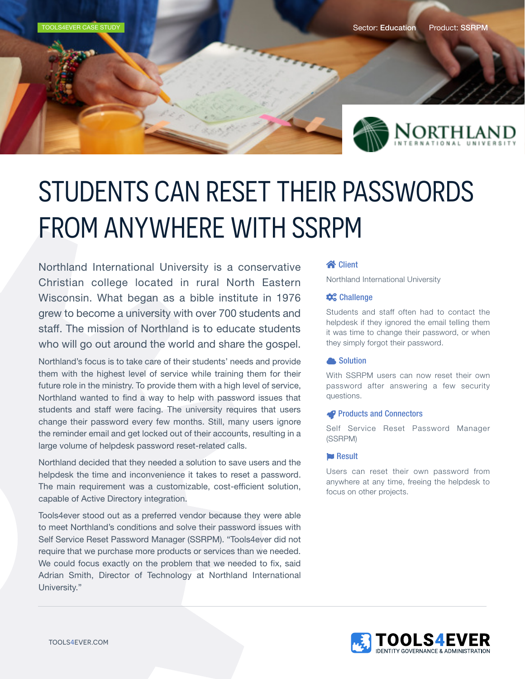

# STUDENTS CAN RESET THEIR PASSWORDS FROM ANYWHERE WITH SSRPM

Northland International University is a conservative Christian college located in rural North Eastern Wisconsin. What began as a bible institute in 1976 grew to become a university with over 700 students and staff. The mission of Northland is to educate students who will go out around the world and share the gospel.

Northland's focus is to take care of their students' needs and provide them with the highest level of service while training them for their future role in the ministry. To provide them with a high level of service, Northland wanted to find a way to help with password issues that students and staff were facing. The university requires that users change their password every few months. Still, many users ignore the reminder email and get locked out of their accounts, resulting in a large volume of helpdesk password reset-related calls.

Northland decided that they needed a solution to save users and the helpdesk the time and inconvenience it takes to reset a password. The main requirement was a customizable, cost-efficient solution, capable of Active Directory integration.

Tools4ever stood out as a preferred vendor because they were able to meet Northland's conditions and solve their password issues with Self Service Reset Password Manager (SSRPM). "Tools4ever did not require that we purchase more products or services than we needed. We could focus exactly on the problem that we needed to fix, said Adrian Smith, Director of Technology at Northland International University."

#### **谷 Client**

Northland International University

#### $\boldsymbol{\phi}_{o}^{\text{o}}$  Challenge

Students and staff often had to contact the helpdesk if they ignored the email telling them it was time to change their password, or when they simply forgot their password.

#### **A** Solution

With SSRPM users can now reset their own password after answering a few security questions.

#### **Products and Connectors**

Self Service Reset Password Manager (SSRPM)

#### **Result**

Users can reset their own password from anywhere at any time, freeing the helpdesk to focus on other projects.